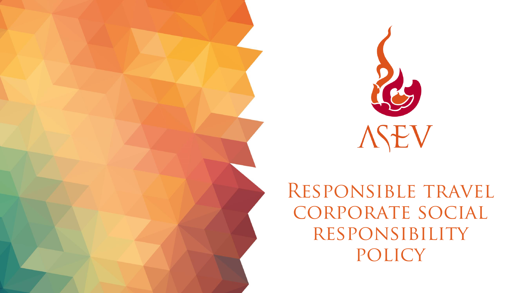

RESPONSIBLE TRAVEL corporate social responsibility policy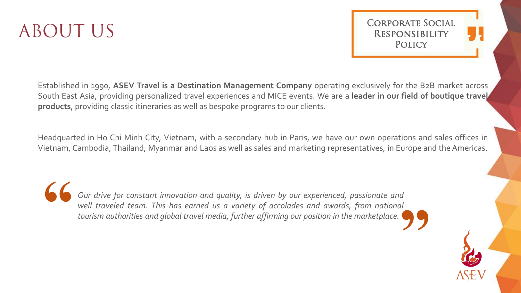# ABOUT US

Corporate Social **RESPONSIBILITY POLICY** 

Established in 1990, **ASEV Travel is a Destination Management Company** operating exclusively for the B2B market across South East Asia, providing personalized travel experiences and MICE events. We are a **leader in our field of boutique travel products**, providing classic itineraries as well as bespoke programs to our clients.

Headquarted in Ho Chi Minh City, Vietnam, with a secondary hub in Paris, we have our own operations and sales offices in Vietnam, Cambodia, Thailand, Myanmar and Laos as well as sales and marketing representatives, in Europe and theAmericas.

*Our drive for constant innovation and quality, is driven by our experienced, passionate and well traveled team. This has earned us a variety of accolades and awards, from national tourism authorities and global travel media, further affirming our position in the marketplace.*

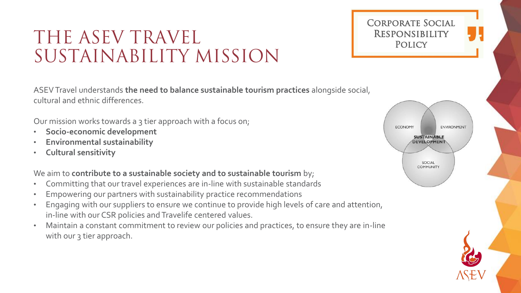### THE ASEV TRAVEL RESPONSIBILITY SUSTAINABILITY MISSION

ASEV Travel understands **the need to balance sustainable tourism practices** alongside social, cultural and ethnic differences.

Our mission works towards a 3 tier approach with a focus on;

- **Socio-economic development**
- **Environmental sustainability**
- **Cultural sensitivity**

### We aim to **contribute to a sustainable society and to sustainable tourism** by;

- Committing that our travel experiences are in-line with sustainable standards
- Empowering our partners with sustainability practice recommendations
- Engaging with our suppliers to ensure we continue to provide high levels of care and attention, in-line with our CSR policies and Travelife centered values.
- Maintain a constant commitment to review our policies and practices, to ensure they are in-line with our 3 tier approach.



Corporate Social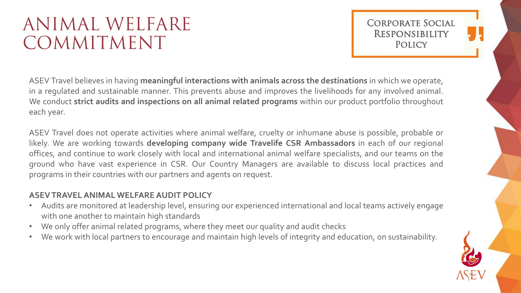## ANIMAL WELFARE COMMITMENT

Corporate Social **RESPONSIBILITY POLICY** 

ASEV Travel believes in having **meaningful interactions with animals across the destinations** in which we operate, in a regulated and sustainable manner. This prevents abuse and improves the livelihoods for any involved animal. We conduct **strict audits and inspections on all animal related programs** within our product portfolio throughout each year.

ASEV Travel does not operate activities where animal welfare, cruelty or inhumane abuse is possible, probable or likely. We are working towards **developing company wide Travelife CSR Ambassadors** in each of our regional offices, and continue to work closely with local and international animal welfare specialists, and our teams on the ground who have vast experience in CSR. Our Country Managers are available to discuss local practices and programs in their countries with our partners and agents on request.

### **ASEVTRAVELANIMAL WELFARE AUDIT POLICY**

- Audits are monitored at leadership level, ensuring our experienced international and local teams actively engage with one another to maintain high standards
- We only offer animal related programs, where they meet our quality and audit checks
- We work with local partners to encourage and maintain high levels of integrity and education, on sustainability.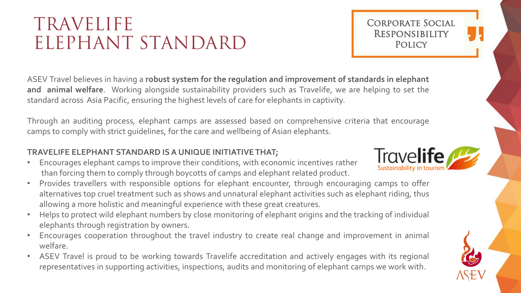## TRAVELIFE ELEPHANT STANDARD

ASEV Travel believes in having a **robust system for the regulation and improvement of standards in elephant and animal welfare**. Working alongside sustainability providers such as Travelife, we are helping to set the standard across Asia Pacific, ensuring the highest levels of care for elephants in captivity.

Through an auditing process, elephant camps are assessed based on comprehensive criteria that encourage camps to comply with strict guidelines, for the care and wellbeing of Asian elephants.

#### **TRAVELIFE ELEPHANT STANDARD ISA UNIQUE INITIATIVETHAT;**

- Encourages elephant camps to improve their conditions, with economic incentives rather than forcing them to comply through boycotts of camps and elephant related product.
- Provides travellers with responsible options for elephant encounter, through encouraging camps to offer alternatives top cruel treatment such as shows and unnatural elephant activities such as elephant riding, thus allowing a more holistic and meaningful experience with these great creatures.
- Helps to protect wild elephant numbers by close monitoring of elephant origins and the tracking of individual elephants through registration by owners.
- Encourages cooperation throughout the travel industry to create real change and improvement in animal welfare.
- ASEV Travel is proud to be working towards Travelife accreditation and actively engages with its regional representatives in supporting activities, inspections, audits and monitoring of elephant camps we work with.



Corporate Social

**RESPONSIBILITY POLICY** 

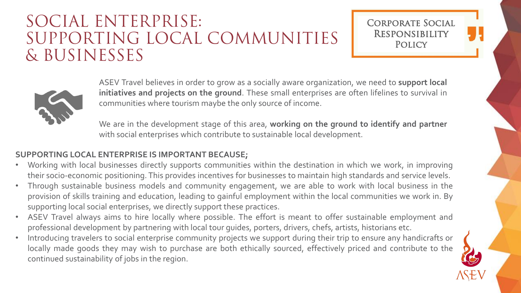### SOCIAL ENTERPRISE: SUPPORTING LOCAL COMMUNITIES & BUSINESSES

### Corporate Social **RESPONSIBILITY POLICY**



ASEV Travel believes in order to grow as a socially aware organization, we need to **support local initiatives and projects on the ground**. These small enterprises are often lifelines to survival in communities where tourism maybe the only source of income.

We are in the development stage of this area, **working on the ground to identify and partner** with social enterprises which contribute to sustainable local development.

#### **SUPPORTING LOCAL ENTERPRISE IS IMPORTANT BECAUSE;**

- Working with local businesses directly supports communities within the destination in which we work, in improving their socio-economic positioning. This provides incentives for businesses to maintain high standards and service levels.
- Through sustainable business models and community engagement, we are able to work with local business in the provision of skills training and education, leading to gainful employment within the local communities we work in. By supporting local social enterprises, we directly support these practices.
- ASEV Travel always aims to hire locally where possible. The effort is meant to offer sustainable employment and professional development by partnering with local tour guides, porters, drivers, chefs, artists, historians etc.
- Introducing travelers to social enterprise community projects we support during their trip to ensure any handicrafts or locally made goods they may wish to purchase are both ethically sourced, effectively priced and contribute to the continued sustainability of jobs in the region.

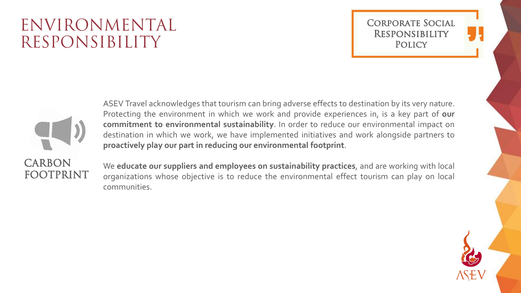### ENVIRONMENTAL RESPONSIBILITY

Corporate Social **RESPONSIBILITY POLICY** 



ASEV Travel acknowledges that tourism can bring adverse effects to destination by its very nature. Protecting the environment in which we work and provide experiences in, is a key part of **our commitment to environmental sustainability**. In order to reduce our environmental impact on destination in which we work, we have implemented initiatives and work alongside partners to **proactively play our part in reducing our environmental footprint**.

We **educate our suppliers and employees on sustainability practices**, and are working with local organizations whose objective is to reduce the environmental effect tourism can play on local communities.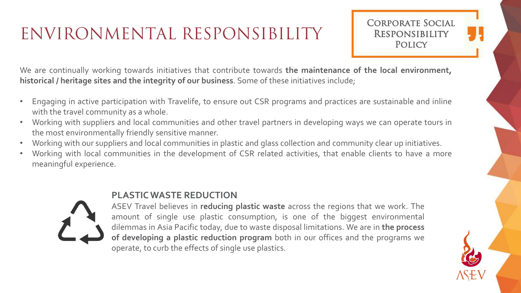## ENVIRONMENTAL RESPONSIBILITY

Corporate Social **RESPONSIBILITY POLICY** 

We are continually working towards initiatives that contribute towards **the maintenance of the local environment, historical / heritage sites and the integrity of our business**. Some of these initiatives include;

- Engaging in active participation with Travelife, to ensure out CSR programs and practices are sustainable and inline with the travel community as a whole.
- Working with suppliers and local communities and other travel partners in developing ways we can operate tours in the most environmentally friendly sensitive manner.
- Working with our suppliers and local communities in plastic and glass collection and community clear up initiatives.
- Working with local communities in the development of CSR related activities, that enable clients to have a more meaningful experience.



#### **PLASTICWASTE REDUCTION**

ASEV Travel believes in **reducing plastic waste** across the regions that we work. The amount of single use plastic consumption, is one of the biggest environmental dilemmas in Asia Pacific today, due to waste disposal limitations. We are in **the process of developing a plastic reduction program** both in our offices and the programs we operate, to curb the effects of single use plastics.

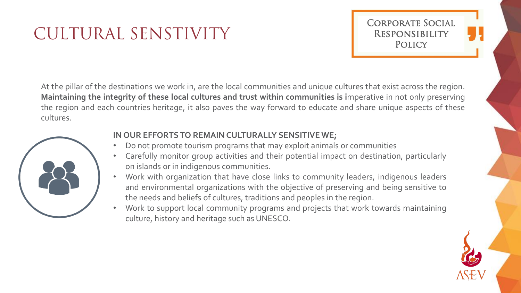## CULTURAL SENSTIVITY



At the pillar of the destinations we work in, are the local communities and unique cultures that exist across the region. **Maintaining the integrity of these local cultures and trust within communities is i**mperative in not only preserving the region and each countries heritage, it also paves the way forward to educate and share unique aspects of these cultures.



#### **IN OUR EFFORTS TO REMAIN CULTURALLY SENSITIVE WE;**

- Do not promote tourism programs that may exploit animals or communities
- Carefully monitor group activities and their potential impact on destination, particularly on islands or in indigenous communities.
- Work with organization that have close links to community leaders, indigenous leaders and environmental organizations with the objective of preserving and being sensitive to the needs and beliefs of cultures, traditions and peoples in the region.
- Work to support local community programs and projects that work towards maintaining culture, history and heritage such as UNESCO.

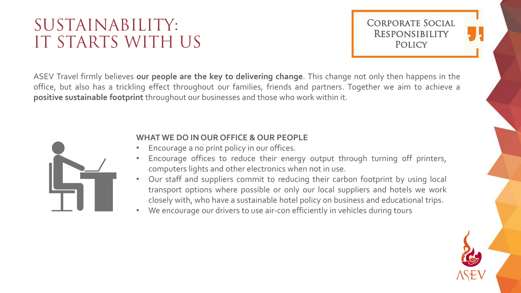### SUSTAINABILITY: IT STARTS WITH US

Corporate Social **RESPONSIBILITY POLICY** 

ASEV Travel firmly believes **our people are the key to delivering change**. This change not only then happens in the office, but also has a trickling effect throughout our families, friends and partners. Together we aim to achieve a **positive sustainable footprint** throughout our businesses and those who work within it.



#### **WHAT WE DO IN OUR OFFICE & OUR PEOPLE**

- Encourage a no print policy in our offices.
- Encourage offices to reduce their energy output through turning off printers, computers lights and other electronics when not in use.
- Our staff and suppliers commit to reducing their carbon footprint by using local transport options where possible or only our local suppliers and hotels we work closely with, who have a sustainable hotel policy on business and educational trips.
- We encourage our drivers to use air-con efficiently in vehicles during tours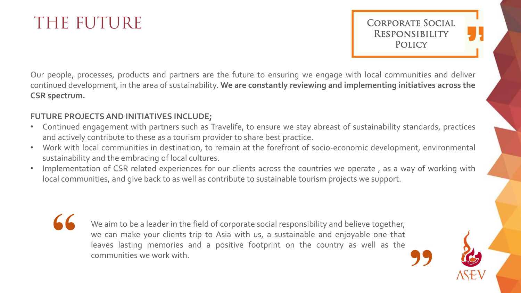### THE FUTURE

Corporate Social **RESPONSIBILITY POLICY** 

Our people, processes, products and partners are the future to ensuring we engage with local communities and deliver continued development, in the area of sustainability. **We are constantly reviewing and implementing initiatives across the CSR spectrum.**

#### **FUTURE PROJECTS AND INITIATIVES INCLUDE;**

- Continued engagement with partners such as Travelife, to ensure we stay abreast of sustainability standards, practices and actively contribute to these as a tourism provider to share best practice.
- Work with local communities in destination, to remain at the forefront of socio-economic development, environmental sustainability and the embracing of local cultures.
- Implementation of CSR related experiences for our clients across the countries we operate, as a way of working with local communities, and give back to as well as contribute to sustainable tourism projects we support.

We aim to be a leader in the field of corporate social responsibility and believe together, we can make your clients trip to Asia with us, a sustainable and enjoyable one that leaves lasting memories and a positive footprint on the country as well as the communities we work with.

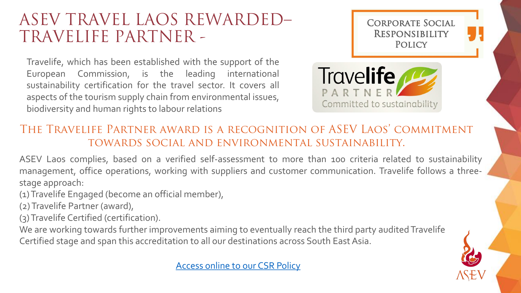### ASEV TRAVEL LAOS REWARDED– TRAVELIFE PARTNER -

Travelife, which has been established with the support of the European Commission, is the leading international sustainability certification for the travel sector. It covers all aspects of the tourism supply chain from environmental issues, biodiversity and human rights to labour relations



### The Travelife Partner award is a recognition of ASEV Laos' commitment towards social and environmental sustainability.

ASEV Laos complies, based on a verified self-assessment to more than 100 criteria related to sustainability management, office operations, working with suppliers and customer communication. Travelife follows a threestage approach:

(1) Travelife Engaged (become an official member),

(2) Travelife Partner (award),

(3) Travelife Certified (certification).

We are working towards further improvements aiming to eventually reach the third party audited Travelife Certified stage and span this accreditation to all our destinations across South East Asia.

[Access online to our](http://www.asev-travel.com/download_file/413/) CSR Policy